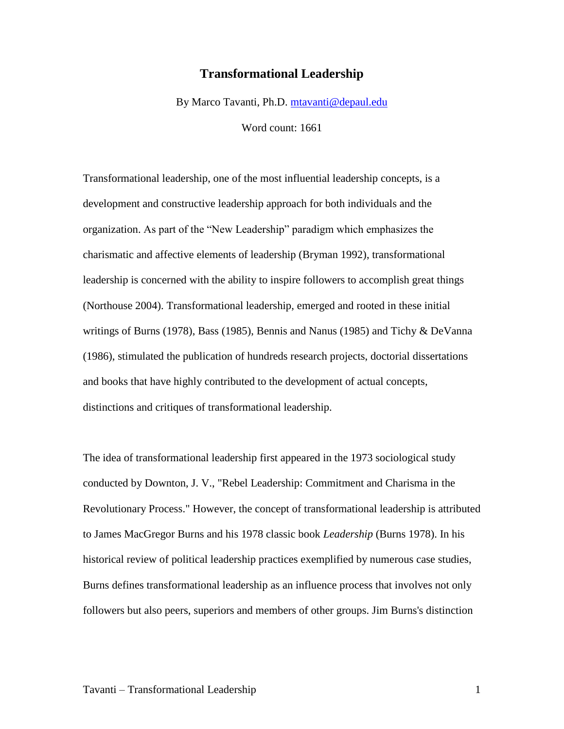## **Transformational Leadership**

By Marco Tavanti, Ph.D. [mtavanti@depaul.edu](mailto:mtavanti@depaul.edu)

Word count: 1661

Transformational leadership, one of the most influential leadership concepts, is a development and constructive leadership approach for both individuals and the organization. As part of the "New Leadership" paradigm which emphasizes the charismatic and affective elements of leadership (Bryman 1992), transformational leadership is concerned with the ability to inspire followers to accomplish great things (Northouse 2004). Transformational leadership, emerged and rooted in these initial writings of Burns (1978), Bass (1985), Bennis and Nanus (1985) and Tichy & DeVanna (1986), stimulated the publication of hundreds research projects, doctorial dissertations and books that have highly contributed to the development of actual concepts, distinctions and critiques of transformational leadership.

The idea of transformational leadership first appeared in the 1973 sociological study conducted by Downton, J. V., "Rebel Leadership: Commitment and Charisma in the Revolutionary Process." However, the concept of transformational leadership is attributed to James MacGregor Burns and his 1978 classic book *Leadership* (Burns 1978). In his historical review of political leadership practices exemplified by numerous case studies, Burns defines transformational leadership as an influence process that involves not only followers but also peers, superiors and members of other groups. Jim Burns's distinction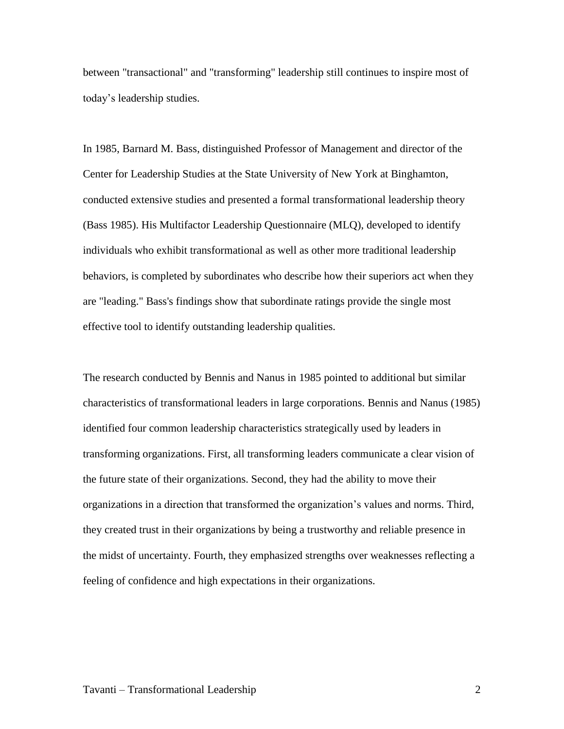between "transactional" and "transforming" leadership still continues to inspire most of today's leadership studies.

In 1985, Barnard M. Bass, distinguished Professor of Management and director of the Center for Leadership Studies at the State University of New York at Binghamton, conducted extensive studies and presented a formal transformational leadership theory (Bass 1985). His Multifactor Leadership Questionnaire (MLQ), developed to identify individuals who exhibit transformational as well as other more traditional leadership behaviors, is completed by subordinates who describe how their superiors act when they are "leading." Bass's findings show that subordinate ratings provide the single most effective tool to identify outstanding leadership qualities.

The research conducted by Bennis and Nanus in 1985 pointed to additional but similar characteristics of transformational leaders in large corporations. Bennis and Nanus (1985) identified four common leadership characteristics strategically used by leaders in transforming organizations. First, all transforming leaders communicate a clear vision of the future state of their organizations. Second, they had the ability to move their organizations in a direction that transformed the organization's values and norms. Third, they created trust in their organizations by being a trustworthy and reliable presence in the midst of uncertainty. Fourth, they emphasized strengths over weaknesses reflecting a feeling of confidence and high expectations in their organizations.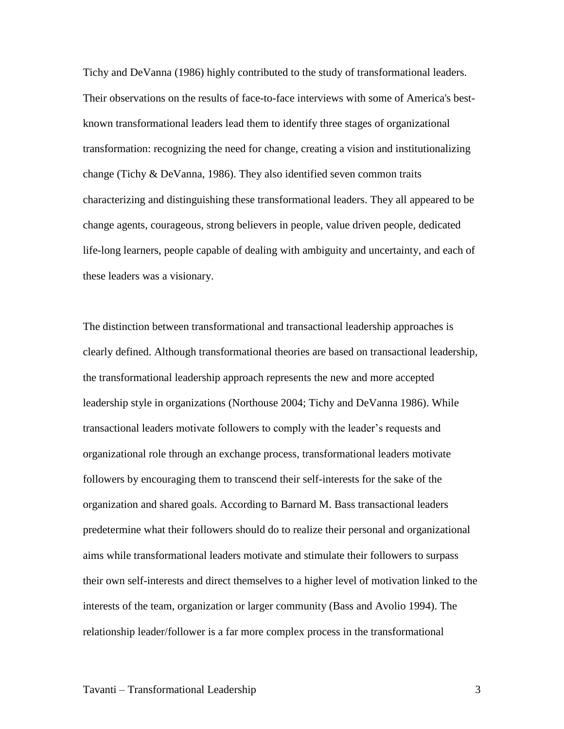Tichy and DeVanna (1986) highly contributed to the study of transformational leaders. Their observations on the results of face-to-face interviews with some of America's bestknown transformational leaders lead them to identify three stages of organizational transformation: recognizing the need for change, creating a vision and institutionalizing change (Tichy & DeVanna, 1986). They also identified seven common traits characterizing and distinguishing these transformational leaders. They all appeared to be change agents, courageous, strong believers in people, value driven people, dedicated life-long learners, people capable of dealing with ambiguity and uncertainty, and each of these leaders was a visionary.

The distinction between transformational and transactional leadership approaches is clearly defined. Although transformational theories are based on transactional leadership, the transformational leadership approach represents the new and more accepted leadership style in organizations (Northouse 2004; Tichy and DeVanna 1986). While transactional leaders motivate followers to comply with the leader's requests and organizational role through an exchange process, transformational leaders motivate followers by encouraging them to transcend their self-interests for the sake of the organization and shared goals. According to Barnard M. Bass transactional leaders predetermine what their followers should do to realize their personal and organizational aims while transformational leaders motivate and stimulate their followers to surpass their own self-interests and direct themselves to a higher level of motivation linked to the interests of the team, organization or larger community (Bass and Avolio 1994). The relationship leader/follower is a far more complex process in the transformational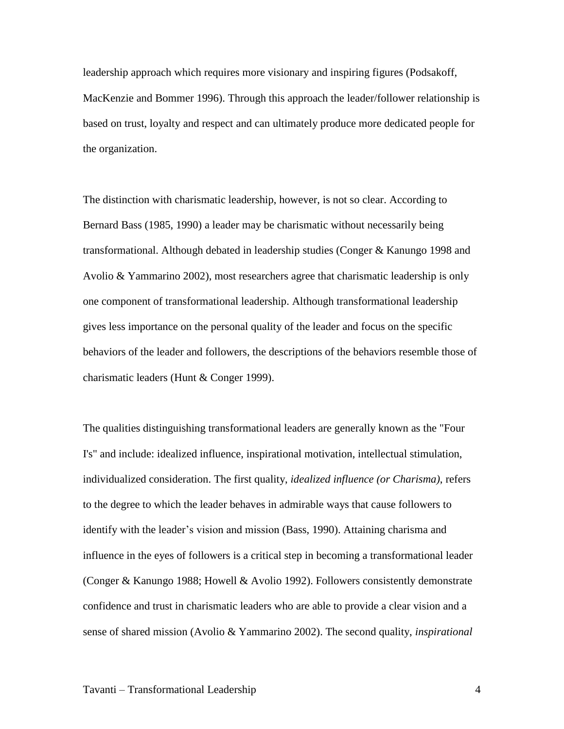leadership approach which requires more visionary and inspiring figures (Podsakoff, MacKenzie and Bommer 1996). Through this approach the leader/follower relationship is based on trust, loyalty and respect and can ultimately produce more dedicated people for the organization.

The distinction with charismatic leadership, however, is not so clear. According to Bernard Bass (1985, 1990) a leader may be charismatic without necessarily being transformational. Although debated in leadership studies (Conger & Kanungo 1998 and Avolio & Yammarino 2002), most researchers agree that charismatic leadership is only one component of transformational leadership. Although transformational leadership gives less importance on the personal quality of the leader and focus on the specific behaviors of the leader and followers, the descriptions of the behaviors resemble those of charismatic leaders (Hunt & Conger 1999).

The qualities distinguishing transformational leaders are generally known as the "Four I's" and include: idealized influence, inspirational motivation, intellectual stimulation, individualized consideration. The first quality, *idealized influence (or Charisma)*, refers to the degree to which the leader behaves in admirable ways that cause followers to identify with the leader's vision and mission (Bass, 1990). Attaining charisma and influence in the eyes of followers is a critical step in becoming a transformational leader (Conger & Kanungo 1988; Howell & Avolio 1992). Followers consistently demonstrate confidence and trust in charismatic leaders who are able to provide a clear vision and a sense of shared mission (Avolio & Yammarino 2002). The second quality, *inspirational*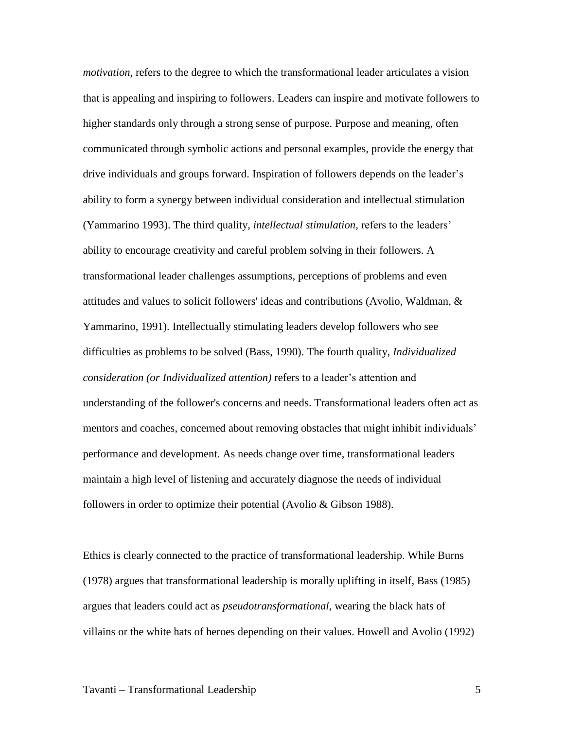*motivation,* refers to the degree to which the transformational leader articulates a vision that is appealing and inspiring to followers. Leaders can inspire and motivate followers to higher standards only through a strong sense of purpose. Purpose and meaning, often communicated through symbolic actions and personal examples, provide the energy that drive individuals and groups forward. Inspiration of followers depends on the leader's ability to form a synergy between individual consideration and intellectual stimulation (Yammarino 1993). The third quality, *intellectual stimulation,* refers to the leaders' ability to encourage creativity and careful problem solving in their followers. A transformational leader challenges assumptions, perceptions of problems and even attitudes and values to solicit followers' ideas and contributions (Avolio, Waldman, & Yammarino, 1991). Intellectually stimulating leaders develop followers who see difficulties as problems to be solved (Bass, 1990). The fourth quality, *Individualized consideration (or Individualized attention)* refers to a leader's attention and understanding of the follower's concerns and needs. Transformational leaders often act as mentors and coaches, concerned about removing obstacles that might inhibit individuals' performance and development. As needs change over time, transformational leaders maintain a high level of listening and accurately diagnose the needs of individual followers in order to optimize their potential (Avolio & Gibson 1988).

Ethics is clearly connected to the practice of transformational leadership. While Burns (1978) argues that transformational leadership is morally uplifting in itself, Bass (1985) argues that leaders could act as *pseudotransformational*, wearing the black hats of villains or the white hats of heroes depending on their values. Howell and Avolio (1992)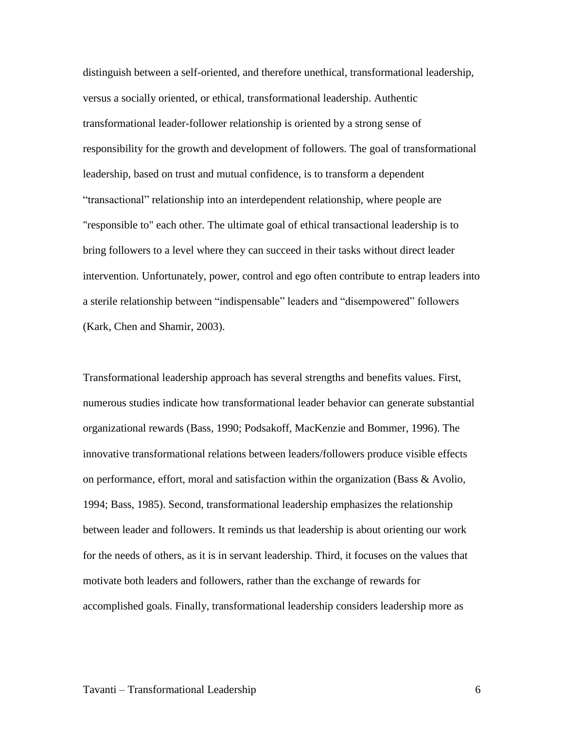distinguish between a self-oriented, and therefore unethical, transformational leadership, versus a socially oriented, or ethical, transformational leadership. Authentic transformational leader-follower relationship is oriented by a strong sense of responsibility for the growth and development of followers. The goal of transformational leadership, based on trust and mutual confidence, is to transform a dependent "transactional" relationship into an interdependent relationship, where people are "responsible to" each other. The ultimate goal of ethical transactional leadership is to bring followers to a level where they can succeed in their tasks without direct leader intervention. Unfortunately, power, control and ego often contribute to entrap leaders into a sterile relationship between "indispensable" leaders and "disempowered" followers (Kark, Chen and Shamir, 2003).

Transformational leadership approach has several strengths and benefits values. First, numerous studies indicate how transformational leader behavior can generate substantial organizational rewards (Bass, 1990; Podsakoff, MacKenzie and Bommer, 1996). The innovative transformational relations between leaders/followers produce visible effects on performance, effort, moral and satisfaction within the organization (Bass & Avolio, 1994; Bass, 1985). Second, transformational leadership emphasizes the relationship between leader and followers. It reminds us that leadership is about orienting our work for the needs of others, as it is in servant leadership. Third, it focuses on the values that motivate both leaders and followers, rather than the exchange of rewards for accomplished goals. Finally, transformational leadership considers leadership more as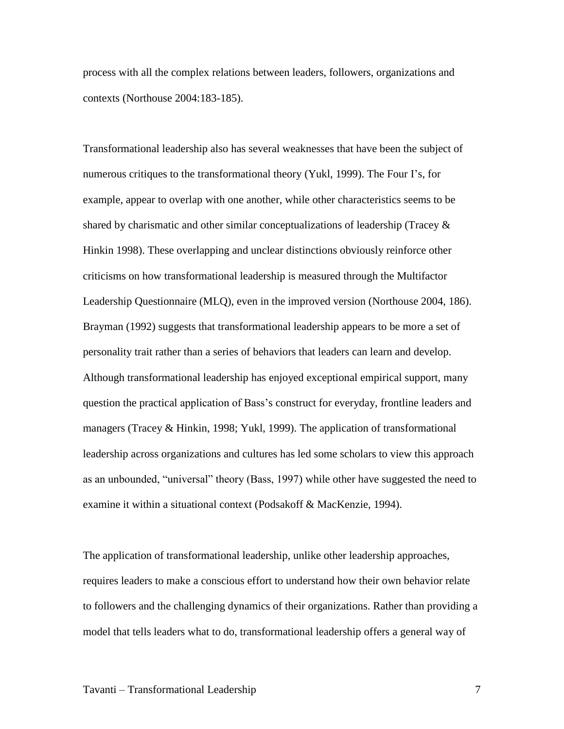process with all the complex relations between leaders, followers, organizations and contexts (Northouse 2004:183-185).

Transformational leadership also has several weaknesses that have been the subject of numerous critiques to the transformational theory (Yukl, 1999). The Four I's, for example, appear to overlap with one another, while other characteristics seems to be shared by charismatic and other similar conceptualizations of leadership (Tracey & Hinkin 1998). These overlapping and unclear distinctions obviously reinforce other criticisms on how transformational leadership is measured through the Multifactor Leadership Questionnaire (MLQ), even in the improved version (Northouse 2004, 186). Brayman (1992) suggests that transformational leadership appears to be more a set of personality trait rather than a series of behaviors that leaders can learn and develop. Although transformational leadership has enjoyed exceptional empirical support, many question the practical application of Bass's construct for everyday, frontline leaders and managers (Tracey & Hinkin, 1998; Yukl, 1999). The application of transformational leadership across organizations and cultures has led some scholars to view this approach as an unbounded, "universal" theory (Bass, 1997) while other have suggested the need to examine it within a situational context (Podsakoff & MacKenzie, 1994).

The application of transformational leadership, unlike other leadership approaches, requires leaders to make a conscious effort to understand how their own behavior relate to followers and the challenging dynamics of their organizations. Rather than providing a model that tells leaders what to do, transformational leadership offers a general way of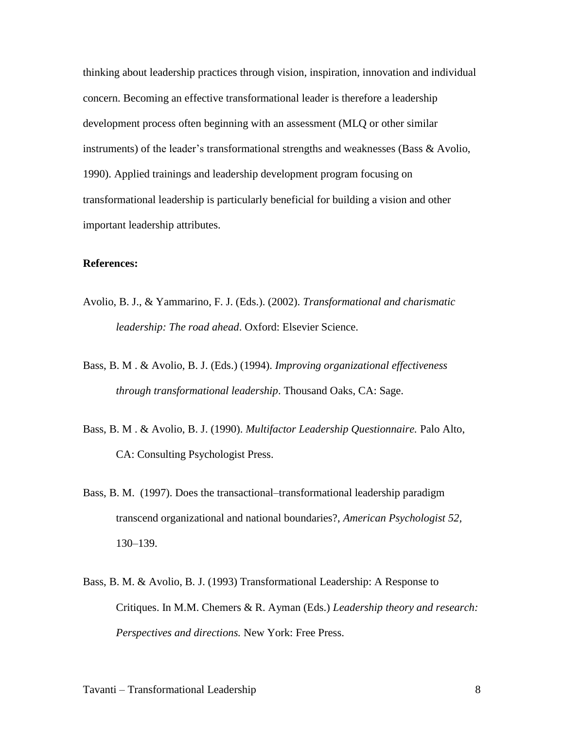thinking about leadership practices through vision, inspiration, innovation and individual concern. Becoming an effective transformational leader is therefore a leadership development process often beginning with an assessment (MLQ or other similar instruments) of the leader's transformational strengths and weaknesses (Bass & Avolio, 1990). Applied trainings and leadership development program focusing on transformational leadership is particularly beneficial for building a vision and other important leadership attributes.

## **References:**

- Avolio, B. J., & Yammarino, F. J. (Eds.). (2002). *Transformational and charismatic leadership: The road ahead*. Oxford: Elsevier Science.
- Bass, B. M . & Avolio, B. J. (Eds.) (1994). *Improving organizational effectiveness through transformational leadership*. Thousand Oaks, CA: Sage.
- Bass, B. M . & Avolio, B. J. (1990). *Multifactor Leadership Questionnaire.* Palo Alto, CA: Consulting Psychologist Press.
- Bass, B. M. (1997). Does the transactional–transformational leadership paradigm transcend organizational and national boundaries?, *American Psychologist 52,* 130–139.
- Bass, B. M. & Avolio, B. J. (1993) Transformational Leadership: A Response to Critiques. In M.M. Chemers & R. Ayman (Eds.) *Leadership theory and research: Perspectives and directions.* New York: Free Press.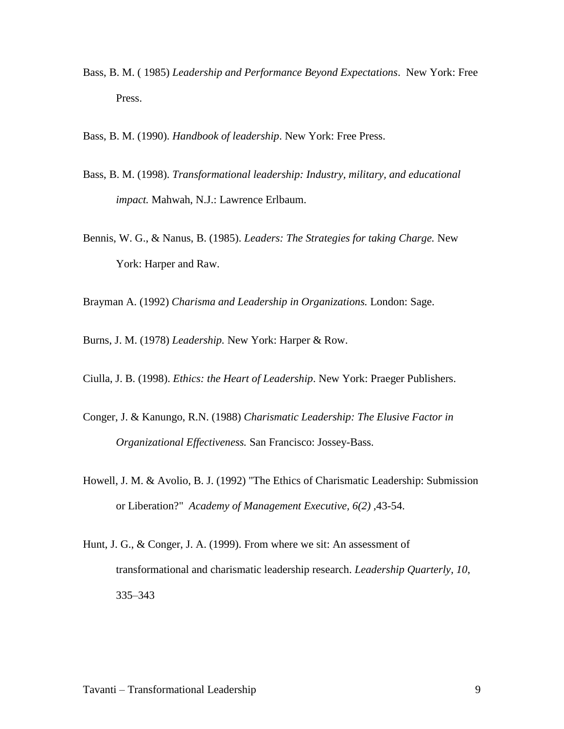Bass, B. M. ( 1985) *Leadership and Performance Beyond Expectations*. New York: Free Press.

Bass, B. M. (1990). *Handbook of leadership*. New York: Free Press.

- Bass, B. M. (1998). *Transformational leadership: Industry, military, and educational impact.* Mahwah, N.J.: Lawrence Erlbaum.
- Bennis, W. G., & Nanus, B. (1985). *Leaders: The Strategies for taking Charge.* New York: Harper and Raw.

Brayman A. (1992) *Charisma and Leadership in Organizations.* London: Sage.

Burns, J. M. (1978) *Leadership.* New York: Harper & Row.

Ciulla, J. B. (1998). *Ethics: the Heart of Leadership*. New York: Praeger Publishers.

- Conger, J. & Kanungo, R.N. (1988) *Charismatic Leadership: The Elusive Factor in Organizational Effectiveness.* San Francisco: Jossey-Bass.
- Howell, J. M. & Avolio, B. J. (1992) "The Ethics of Charismatic Leadership: Submission or Liberation?" *Academy of Management Executive, 6(2) ,*43-54.
- Hunt, J. G., & Conger, J. A. (1999). From where we sit: An assessment of transformational and charismatic leadership research. *Leadership Quarterly, 10*, 335–343